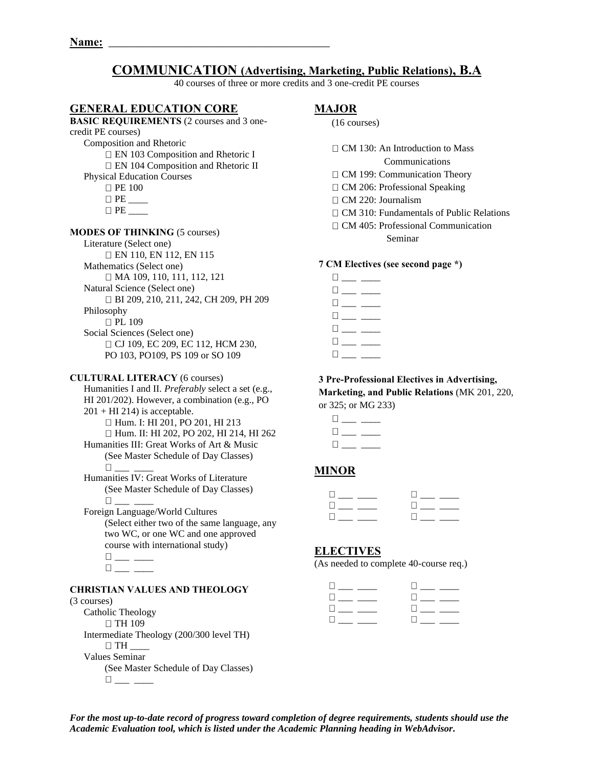# **COMMUNICATION (Advertising, Marketing, Public Relations), B.A**

40 courses of three or more credits and 3 one-credit PE courses

## **GENERAL EDUCATION CORE**

## **BASIC REQUIREMENTS** (2 courses and 3 onecredit PE courses) Composition and Rhetoric EN 103 Composition and Rhetoric I EN 104 Composition and Rhetoric II Physical Education Courses **D** PE 100 PE \_\_\_\_  $\Box$  PE **MODES OF THINKING** (5 courses) Literature (Select one) EN 110, EN 112, EN 115 Mathematics (Select one) □ MA 109, 110, 111, 112, 121 Natural Science (Select one) BI 209, 210, 211, 242, CH 209, PH 209 Philosophy

**PL 109** Social Sciences (Select one) □ CJ 109, EC 209, EC 112, HCM 230, PO 103, PO109, PS 109 or SO 109

#### **CULTURAL LITERACY** (6 courses)

Humanities I and II. *Preferably* select a set (e.g., HI 201/202). However, a combination (e.g., PO  $201 + HI$  214) is acceptable. □ Hum. I: HI 201, PO 201, HI 213 Hum. II: HI 202, PO 202, HI 214, HI 262 Humanities III: Great Works of Art & Music (See Master Schedule of Day Classes) \_\_\_ \_\_\_\_ Humanities IV: Great Works of Literature

(See Master Schedule of Day Classes) \_\_\_ \_\_\_\_

Foreign Language/World Cultures (Select either two of the same language, any two WC, or one WC and one approved course with international study)  $\Box$  $\square_{\textit{max}} \xrightarrow{\hspace*{1.5cm}}$ 

#### **CHRISTIAN VALUES AND THEOLOGY**

#### (3 courses)

Catholic Theology □ TH 109 Intermediate Theology (200/300 level TH)  $\Box$  TH Values Seminar (See Master Schedule of Day Classes)  $\Box$ 

## **MAJOR**

|  | $(16 \text{ courses})$ |
|--|------------------------|
|--|------------------------|

 $\Box$  CM 130: An Introduction to Mass

Communications

- □ CM 199: Communication Theory
- □ CM 206: Professional Speaking
- $\Box$  CM 220: Journalism
- □ CM 310: Fundamentals of Public Relations
- CM 405: Professional Communication Seminar

#### **7 CM Electives (see second page \*)**

 $\Box \hspace{0.1cm} \underline{\hspace{0.1cm}} \rule{0.1cm}{0.1cm} \underline{\hspace{0.1cm}} \rule{0.1cm}{0.1cm} \underline{\hspace{0.1cm}} \rule{0.1cm}{0.1cm} \underline{\hspace{0.1cm}} \rule{0.1cm}{0.1cm} \underline{\hspace{0.1cm}} \rule{0.1cm} \underline{\hspace{0.1cm}} \underline{\hspace{0.1cm}} \underline{\hspace{0.1cm}} \rule{0.1cm}{0.1cm} \underline{\hspace{0.1cm}} \underline{\hspace{0.1cm}} \underline{\hspace{0.1cm}} \underline{\hspace{0.1cm}} \underline{\hs$  $\square_{\textit{max}} \xrightarrow{\hspace*{1.5cm}}$  $\square_{\textit{max}} \xrightarrow{\hspace{0.5cm}}$  $\Box$  $\Box$  $\square_{\textit{max}} \xrightarrow{\hspace{0.05cm}}$  $\Box$ 

## **3 Pre-Professional Electives in Advertising,**

**Marketing, and Public Relations** (MK 201, 220, or 325; or MG 233)

| Ш       |  |
|---------|--|
| $\perp$ |  |
| H       |  |

## **MINOR**

| $\mathbf{u}$ and $\mathbf{u}$ and $\mathbf{u}$ | $\Box$                               |
|------------------------------------------------|--------------------------------------|
| and the company of the company                 | <b>Contract Contract Contract</b>    |
| <b>The Common Street</b>                       | <b>Li</b> and the state of the state |

## **ELECTIVES**

(As needed to complete 40-course req.)

| the company of the company of the              |                                                |
|------------------------------------------------|------------------------------------------------|
| the company of the company                     | <b>Experience</b>                              |
| $\mathbf{u}$ and $\mathbf{u}$ and $\mathbf{u}$ | $\mathbb{R}$ and $\mathbb{R}$                  |
| $\mathbf{u}$ and $\mathbf{u}$ and $\mathbf{u}$ | $\mathbf{L}$ and $\mathbf{L}$ and $\mathbf{L}$ |

*For the most up-to-date record of progress toward completion of degree requirements, students should use the Academic Evaluation tool, which is listed under the Academic Planning heading in WebAdvisor.*